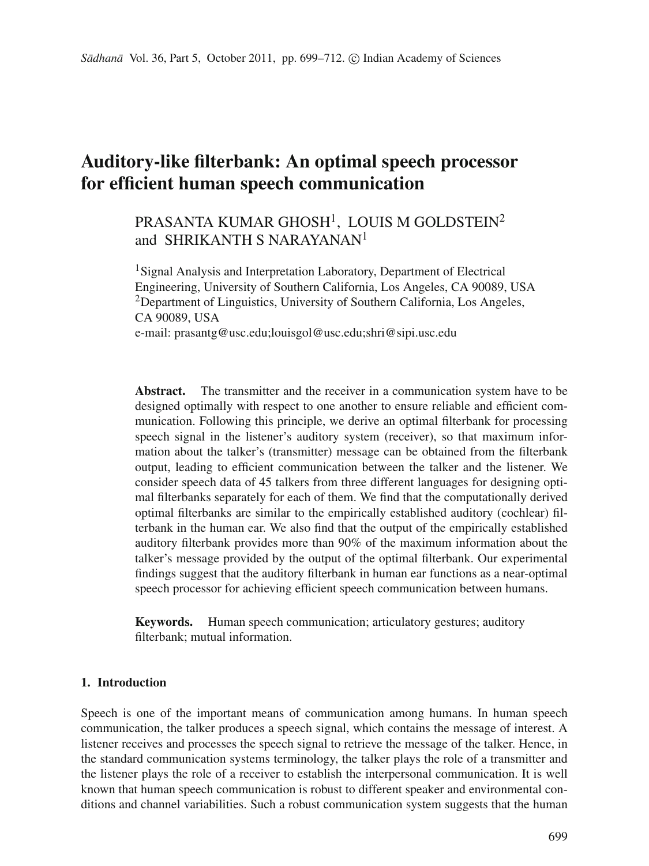# **Auditory-like filterbank: An optimal speech processor for efficient human speech communication**

## PRASANTA KUMAR GHOSH<sup>1</sup>, LOUIS M GOLDSTEIN<sup>2</sup> and SHRIKANTH S NARAYANAN<sup>1</sup>

<sup>1</sup>Signal Analysis and Interpretation Laboratory, Department of Electrical Engineering, University of Southern California, Los Angeles, CA 90089, USA <sup>2</sup>Department of Linguistics, University of Southern California, Los Angeles, CA 90089, USA e-mail: prasantg@usc.edu;louisgol@usc.edu;shri@sipi.usc.edu

Abstract. The transmitter and the receiver in a communication system have to be designed optimally with respect to one another to ensure reliable and efficient communication. Following this principle, we derive an optimal filterbank for processing speech signal in the listener's auditory system (receiver), so that maximum information about the talker's (transmitter) message can be obtained from the filterbank output, leading to efficient communication between the talker and the listener. We consider speech data of 45 talkers from three different languages for designing optimal filterbanks separately for each of them. We find that the computationally derived optimal filterbanks are similar to the empirically established auditory (cochlear) filterbank in the human ear. We also find that the output of the empirically established auditory filterbank provides more than 90% of the maximum information about the talker's message provided by the output of the optimal filterbank. Our experimental findings suggest that the auditory filterbank in human ear functions as a near-optimal speech processor for achieving efficient speech communication between humans.

**Keywords.** Human speech communication; articulatory gestures; auditory filterbank; mutual information.

## **1. Introduction**

Speech is one of the important means of communication among humans. In human speech communication, the talker produces a speech signal, which contains the message of interest. A listener receives and processes the speech signal to retrieve the message of the talker. Hence, in the standard communication systems terminology, the talker plays the role of a transmitter and the listener plays the role of a receiver to establish the interpersonal communication. It is well known that human speech communication is robust to different speaker and environmental conditions and channel variabilities. Such a robust communication system suggests that the human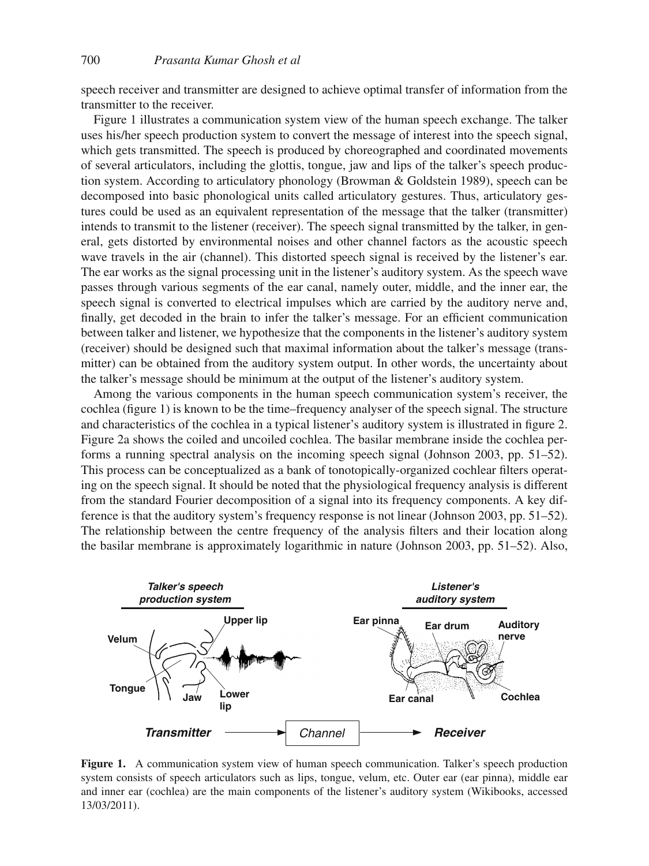speech receiver and transmitter are designed to achieve optimal transfer of information from the transmitter to the receiver.

Figure 1 illustrates a communication system view of the human speech exchange. The talker uses his/her speech production system to convert the message of interest into the speech signal, which gets transmitted. The speech is produced by choreographed and coordinated movements of several articulators, including the glottis, tongue, jaw and lips of the talker's speech production system. According to articulatory phonology (Browman & Goldstein 1989), speech can be decomposed into basic phonological units called articulatory gestures. Thus, articulatory gestures could be used as an equivalent representation of the message that the talker (transmitter) intends to transmit to the listener (receiver). The speech signal transmitted by the talker, in general, gets distorted by environmental noises and other channel factors as the acoustic speech wave travels in the air (channel). This distorted speech signal is received by the listener's ear. The ear works as the signal processing unit in the listener's auditory system. As the speech wave passes through various segments of the ear canal, namely outer, middle, and the inner ear, the speech signal is converted to electrical impulses which are carried by the auditory nerve and, finally, get decoded in the brain to infer the talker's message. For an efficient communication between talker and listener, we hypothesize that the components in the listener's auditory system (receiver) should be designed such that maximal information about the talker's message (transmitter) can be obtained from the auditory system output. In other words, the uncertainty about the talker's message should be minimum at the output of the listener's auditory system.

Among the various components in the human speech communication system's receiver, the cochlea (figure 1) is known to be the time–frequency analyser of the speech signal. The structure and characteristics of the cochlea in a typical listener's auditory system is illustrated in figure 2. Figure 2a shows the coiled and uncoiled cochlea. The basilar membrane inside the cochlea performs a running spectral analysis on the incoming speech signal (Johnson 2003, pp. 51–52). This process can be conceptualized as a bank of tonotopically-organized cochlear filters operating on the speech signal. It should be noted that the physiological frequency analysis is different from the standard Fourier decomposition of a signal into its frequency components. A key difference is that the auditory system's frequency response is not linear (Johnson 2003, pp. 51–52). The relationship between the centre frequency of the analysis filters and their location along the basilar membrane is approximately logarithmic in nature (Johnson 2003, pp. 51–52). Also,



**Figure 1.** A communication system view of human speech communication. Talker's speech production system consists of speech articulators such as lips, tongue, velum, etc. Outer ear (ear pinna), middle ear and inner ear (cochlea) are the main components of the listener's auditory system (Wikibooks, accessed 13/03/2011).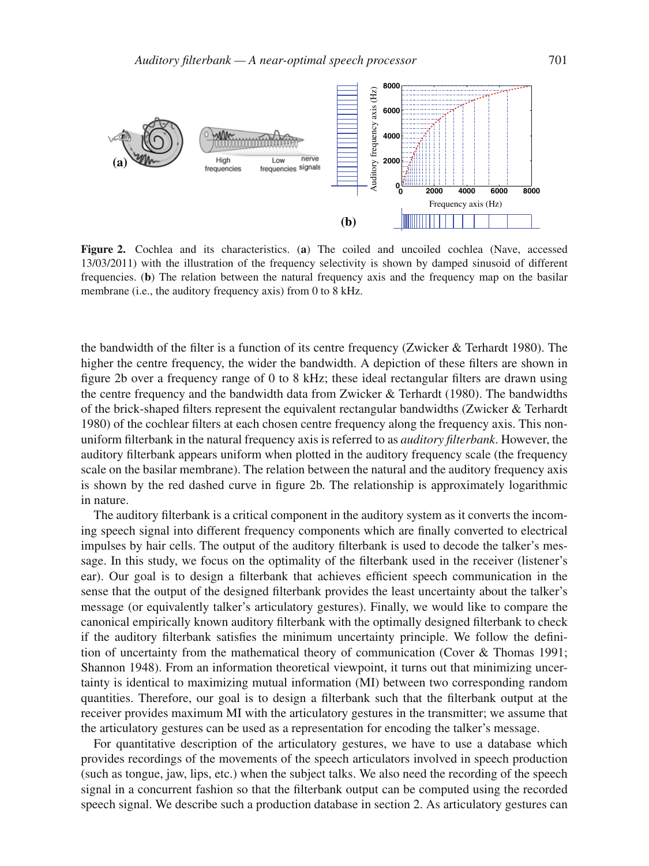

**Figure 2.** Cochlea and its characteristics. (**a**) The coiled and uncoiled cochlea (Nave, accessed 13/03/2011) with the illustration of the frequency selectivity is shown by damped sinusoid of different frequencies. (**b**) The relation between the natural frequency axis and the frequency map on the basilar membrane (i.e., the auditory frequency axis) from 0 to 8 kHz.

the bandwidth of the filter is a function of its centre frequency (Zwicker & Terhardt 1980). The higher the centre frequency, the wider the bandwidth. A depiction of these filters are shown in figure 2b over a frequency range of 0 to 8 kHz; these ideal rectangular filters are drawn using the centre frequency and the bandwidth data from Zwicker & Terhardt (1980). The bandwidths of the brick-shaped filters represent the equivalent rectangular bandwidths (Zwicker & Terhardt 1980) of the cochlear filters at each chosen centre frequency along the frequency axis. This nonuniform filterbank in the natural frequency axis is referred to as *auditory filterbank*. However, the auditory filterbank appears uniform when plotted in the auditory frequency scale (the frequency scale on the basilar membrane). The relation between the natural and the auditory frequency axis is shown by the red dashed curve in figure 2b. The relationship is approximately logarithmic in nature.

The auditory filterbank is a critical component in the auditory system as it converts the incoming speech signal into different frequency components which are finally converted to electrical impulses by hair cells. The output of the auditory filterbank is used to decode the talker's message. In this study, we focus on the optimality of the filterbank used in the receiver (listener's ear). Our goal is to design a filterbank that achieves efficient speech communication in the sense that the output of the designed filterbank provides the least uncertainty about the talker's message (or equivalently talker's articulatory gestures). Finally, we would like to compare the canonical empirically known auditory filterbank with the optimally designed filterbank to check if the auditory filterbank satisfies the minimum uncertainty principle. We follow the definition of uncertainty from the mathematical theory of communication (Cover & Thomas 1991; Shannon 1948). From an information theoretical viewpoint, it turns out that minimizing uncertainty is identical to maximizing mutual information (MI) between two corresponding random quantities. Therefore, our goal is to design a filterbank such that the filterbank output at the receiver provides maximum MI with the articulatory gestures in the transmitter; we assume that the articulatory gestures can be used as a representation for encoding the talker's message.

For quantitative description of the articulatory gestures, we have to use a database which provides recordings of the movements of the speech articulators involved in speech production (such as tongue, jaw, lips, etc.) when the subject talks. We also need the recording of the speech signal in a concurrent fashion so that the filterbank output can be computed using the recorded speech signal. We describe such a production database in section 2. As articulatory gestures can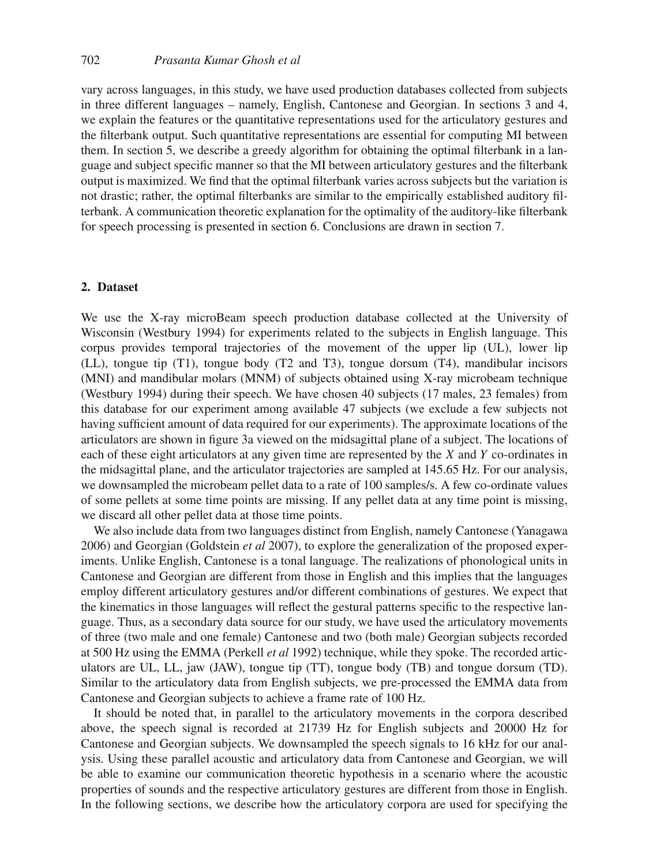vary across languages, in this study, we have used production databases collected from subjects in three different languages – namely, English, Cantonese and Georgian. In sections 3 and 4, we explain the features or the quantitative representations used for the articulatory gestures and the filterbank output. Such quantitative representations are essential for computing MI between them. In section 5, we describe a greedy algorithm for obtaining the optimal filterbank in a language and subject specific manner so that the MI between articulatory gestures and the filterbank output is maximized. We find that the optimal filterbank varies across subjects but the variation is not drastic; rather, the optimal filterbanks are similar to the empirically established auditory filterbank. A communication theoretic explanation for the optimality of the auditory-like filterbank for speech processing is presented in section 6. Conclusions are drawn in section 7.

#### **2. Dataset**

We use the X-ray microBeam speech production database collected at the University of Wisconsin (Westbury 1994) for experiments related to the subjects in English language. This corpus provides temporal trajectories of the movement of the upper lip (UL), lower lip (LL), tongue tip (T1), tongue body (T2 and T3), tongue dorsum (T4), mandibular incisors (MNI) and mandibular molars (MNM) of subjects obtained using X-ray microbeam technique (Westbury 1994) during their speech. We have chosen 40 subjects (17 males, 23 females) from this database for our experiment among available 47 subjects (we exclude a few subjects not having sufficient amount of data required for our experiments). The approximate locations of the articulators are shown in figure 3a viewed on the midsagittal plane of a subject. The locations of each of these eight articulators at any given time are represented by the *X* and *Y* co-ordinates in the midsagittal plane, and the articulator trajectories are sampled at 145.65 Hz. For our analysis, we downsampled the microbeam pellet data to a rate of 100 samples/s. A few co-ordinate values of some pellets at some time points are missing. If any pellet data at any time point is missing, we discard all other pellet data at those time points.

We also include data from two languages distinct from English, namely Cantonese (Yanagawa 2006) and Georgian (Goldstein *et al* 2007), to explore the generalization of the proposed experiments. Unlike English, Cantonese is a tonal language. The realizations of phonological units in Cantonese and Georgian are different from those in English and this implies that the languages employ different articulatory gestures and/or different combinations of gestures. We expect that the kinematics in those languages will reflect the gestural patterns specific to the respective language. Thus, as a secondary data source for our study, we have used the articulatory movements of three (two male and one female) Cantonese and two (both male) Georgian subjects recorded at 500 Hz using the EMMA (Perkell *et al* 1992) technique, while they spoke. The recorded articulators are UL, LL, jaw (JAW), tongue tip (TT), tongue body (TB) and tongue dorsum (TD). Similar to the articulatory data from English subjects, we pre-processed the EMMA data from Cantonese and Georgian subjects to achieve a frame rate of 100 Hz.

It should be noted that, in parallel to the articulatory movements in the corpora described above, the speech signal is recorded at 21739 Hz for English subjects and 20000 Hz for Cantonese and Georgian subjects. We downsampled the speech signals to 16 kHz for our analysis. Using these parallel acoustic and articulatory data from Cantonese and Georgian, we will be able to examine our communication theoretic hypothesis in a scenario where the acoustic properties of sounds and the respective articulatory gestures are different from those in English. In the following sections, we describe how the articulatory corpora are used for specifying the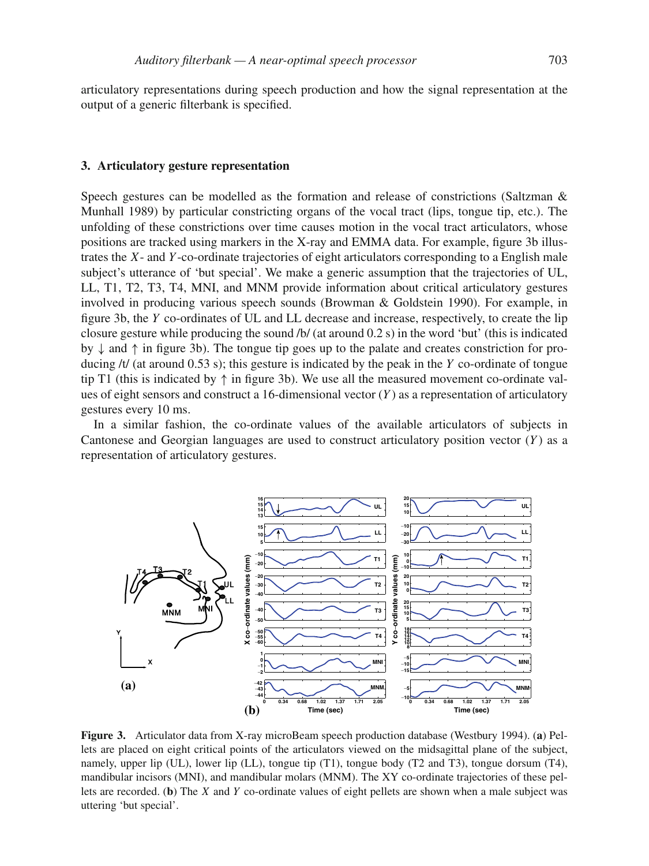articulatory representations during speech production and how the signal representation at the output of a generic filterbank is specified.

#### **3. Articulatory gesture representation**

Speech gestures can be modelled as the formation and release of constrictions (Saltzman & Munhall 1989) by particular constricting organs of the vocal tract (lips, tongue tip, etc.). The unfolding of these constrictions over time causes motion in the vocal tract articulators, whose positions are tracked using markers in the X-ray and EMMA data. For example, figure 3b illustrates the *X*- and *Y* -co-ordinate trajectories of eight articulators corresponding to a English male subject's utterance of 'but special'. We make a generic assumption that the trajectories of UL, LL, T1, T2, T3, T4, MNI, and MNM provide information about critical articulatory gestures involved in producing various speech sounds (Browman & Goldstein 1990). For example, in figure 3b, the *Y* co-ordinates of UL and LL decrease and increase, respectively, to create the lip closure gesture while producing the sound /b/ (at around 0.2 s) in the word 'but' (this is indicated by ↓ and ↑ in figure 3b). The tongue tip goes up to the palate and creates constriction for producing /t/ (at around 0.53 s); this gesture is indicated by the peak in the *Y* co-ordinate of tongue tip T1 (this is indicated by  $\uparrow$  in figure 3b). We use all the measured movement co-ordinate values of eight sensors and construct a 16-dimensional vector (*Y* ) as a representation of articulatory gestures every 10 ms.

In a similar fashion, the co-ordinate values of the available articulators of subjects in Cantonese and Georgian languages are used to construct articulatory position vector (*Y* ) as a representation of articulatory gestures.



**Figure 3.** Articulator data from X-ray microBeam speech production database (Westbury 1994). (**a**) Pellets are placed on eight critical points of the articulators viewed on the midsagittal plane of the subject, namely, upper lip (UL), lower lip (LL), tongue tip (T1), tongue body (T2 and T3), tongue dorsum (T4), mandibular incisors (MNI), and mandibular molars (MNM). The XY co-ordinate trajectories of these pellets are recorded. (**b**) The *X* and *Y* co-ordinate values of eight pellets are shown when a male subject was uttering 'but special'.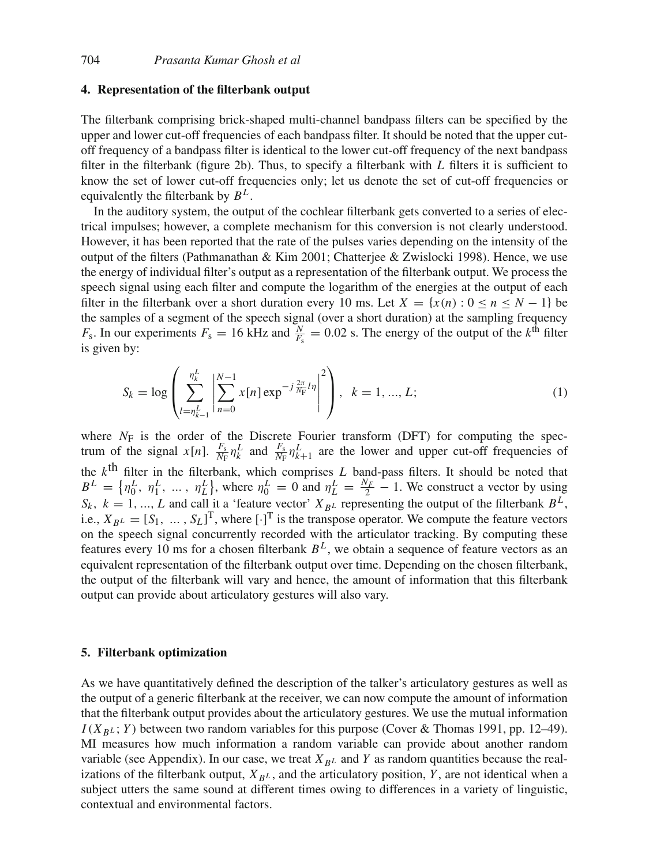#### **4. Representation of the filterbank output**

The filterbank comprising brick-shaped multi-channel bandpass filters can be specified by the upper and lower cut-off frequencies of each bandpass filter. It should be noted that the upper cutoff frequency of a bandpass filter is identical to the lower cut-off frequency of the next bandpass filter in the filterbank (figure 2b). Thus, to specify a filterbank with *L* filters it is sufficient to know the set of lower cut-off frequencies only; let us denote the set of cut-off frequencies or equivalently the filterbank by *B<sup>L</sup>* .

In the auditory system, the output of the cochlear filterbank gets converted to a series of electrical impulses; however, a complete mechanism for this conversion is not clearly understood. However, it has been reported that the rate of the pulses varies depending on the intensity of the output of the filters (Pathmanathan & Kim 2001; Chatterjee & Zwislocki 1998). Hence, we use the energy of individual filter's output as a representation of the filterbank output. We process the speech signal using each filter and compute the logarithm of the energies at the output of each filter in the filterbank over a short duration every 10 ms. Let  $X = \{x(n): 0 \le n \le N - 1\}$  be the samples of a segment of the speech signal (over a short duration) at the sampling frequency  $F_s$ . In our experiments  $F_s = 16$  kHz and  $\frac{N}{F_s} = 0.02$  s. The energy of the output of the  $k^{\text{th}}$  filter is given by:

$$
S_k = \log \left( \sum_{l=\eta_{k-1}^L}^{\eta_k^L} \left| \sum_{n=0}^{N-1} x[n] \exp^{-j\frac{2\pi}{N_{\rm F}}l\eta} \right|^2 \right), \ \ k = 1, ..., L; \tag{1}
$$

where  $N_F$  is the order of the Discrete Fourier transform (DFT) for computing the spectrum of the signal  $x[n]$ .  $\frac{F_s}{N_F} \eta_k^L$  and  $\frac{F_s}{N_F} \eta_{k+1}^L$  are the lower and upper cut-off frequencies of the *k*th filter in the filterbank, which comprises *L* band-pass filters. It should be noted that  $B^L = \{\eta_0^L, \eta_1^L, \dots, \eta_L^L\}$ , where  $\eta_0^L = 0$  and  $\eta_L^L = \frac{N_F}{2} - 1$ . We construct a vector by using  $S_k$ ,  $k = 1, ..., L$  and call it a 'feature vector'  $X_{BL}$  representing the output of the filterbank  $B^L$ , i.e.,  $X_{B^L} = [S_1, ..., S_L]^T$ , where  $[\cdot]^T$  is the transpose operator. We compute the feature vectors on the speech signal concurrently recorded with the articulator tracking. By computing these features every 10 ms for a chosen filterbank  $B<sup>L</sup>$ , we obtain a sequence of feature vectors as an equivalent representation of the filterbank output over time. Depending on the chosen filterbank, the output of the filterbank will vary and hence, the amount of information that this filterbank output can provide about articulatory gestures will also vary.

#### **5. Filterbank optimization**

As we have quantitatively defined the description of the talker's articulatory gestures as well as the output of a generic filterbank at the receiver, we can now compute the amount of information that the filterbank output provides about the articulatory gestures. We use the mutual information  $I(X_{BL}; Y)$  between two random variables for this purpose (Cover & Thomas 1991, pp. 12–49). MI measures how much information a random variable can provide about another random variable (see Appendix). In our case, we treat  $X_{BL}$  and  $Y$  as random quantities because the realizations of the filterbank output,  $X_{BL}$ , and the articulatory position,  $Y$ , are not identical when a subject utters the same sound at different times owing to differences in a variety of linguistic, contextual and environmental factors.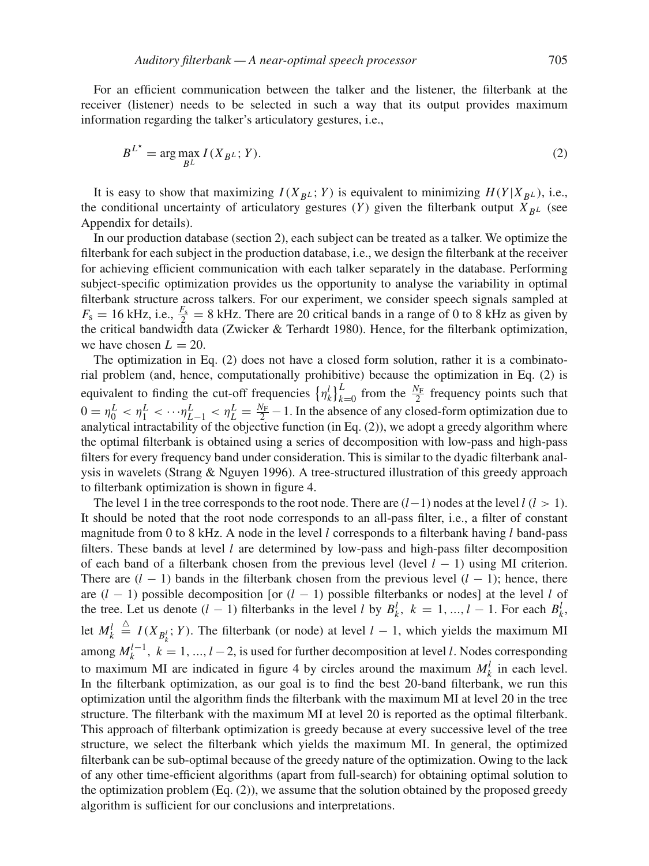For an efficient communication between the talker and the listener, the filterbank at the receiver (listener) needs to be selected in such a way that its output provides maximum information regarding the talker's articulatory gestures, i.e.,

$$
B^{L^*} = \arg\max_{B^L} I(X_{B^L}; Y). \tag{2}
$$

It is easy to show that maximizing  $I(X_{BL}; Y)$  is equivalent to minimizing  $H(Y|X_{BL})$ , i.e., the conditional uncertainty of articulatory gestures  $(Y)$  given the filterbank output  $X_{BL}$  (see Appendix for details).

In our production database (section 2), each subject can be treated as a talker. We optimize the filterbank for each subject in the production database, i.e., we design the filterbank at the receiver for achieving efficient communication with each talker separately in the database. Performing subject-specific optimization provides us the opportunity to analyse the variability in optimal filterbank structure across talkers. For our experiment, we consider speech signals sampled at  $F_s = 16 \text{ kHz}$ , i.e.,  $\frac{F_s}{2} = 8 \text{ kHz}$ . There are 20 critical bands in a range of 0 to 8 kHz as given by the critical bandwidth data (Zwicker & Terhardt 1980). Hence, for the filterbank optimization, we have chosen  $L = 20$ .

The optimization in Eq. (2) does not have a closed form solution, rather it is a combinatorial problem (and, hence, computationally prohibitive) because the optimization in Eq. (2) is equivalent to finding the cut-off frequencies  $\left\{ \eta_k^l \right\}_{k=0}^L$  from the  $\frac{N_F}{2}$  frequency points such that  $0 = \eta_0^L < \eta_1^L < \cdots \eta_{L-1}^L < \eta_L^L = \frac{N_F}{2} - 1$ . In the absence of any closed-form optimization due to analytical intractability of the objective function (in Eq. (2)), we adopt a greedy algorithm where the optimal filterbank is obtained using a series of decomposition with low-pass and high-pass filters for every frequency band under consideration. This is similar to the dyadic filterbank analysis in wavelets (Strang & Nguyen 1996). A tree-structured illustration of this greedy approach to filterbank optimization is shown in figure 4.

The level 1 in the tree corresponds to the root node. There are  $(l-1)$  nodes at the level  $l$  ( $l > 1$ ). It should be noted that the root node corresponds to an all-pass filter, i.e., a filter of constant magnitude from 0 to 8 kHz. A node in the level *l* corresponds to a filterbank having *l* band-pass filters. These bands at level *l* are determined by low-pass and high-pass filter decomposition of each band of a filterbank chosen from the previous level (level *l* − 1) using MI criterion. There are  $(l - 1)$  bands in the filterbank chosen from the previous level  $(l - 1)$ ; hence, there are (*l* − 1) possible decomposition [or (*l* − 1) possible filterbanks or nodes] at the level *l* of the tree. Let us denote  $(l - 1)$  filterbanks in the level *l* by  $B_k^l$ ,  $k = 1, ..., l - 1$ . For each  $B_k^l$ , let *M<sup>l</sup> k*  $\stackrel{\triangle}{=} I(X_{B_k^l}; Y)$ . The filterbank (or node) at level  $l-1$ , which yields the maximum MI among  $M_k^{l-1}$ ,  $k = 1, ..., l-2$ , is used for further decomposition at level *l*. Nodes corresponding to maximum MI are indicated in figure 4 by circles around the maximum  $M_k^l$  in each level. In the filterbank optimization, as our goal is to find the best 20-band filterbank, we run this optimization until the algorithm finds the filterbank with the maximum MI at level 20 in the tree structure. The filterbank with the maximum MI at level 20 is reported as the optimal filterbank. This approach of filterbank optimization is greedy because at every successive level of the tree structure, we select the filterbank which yields the maximum MI. In general, the optimized filterbank can be sub-optimal because of the greedy nature of the optimization. Owing to the lack of any other time-efficient algorithms (apart from full-search) for obtaining optimal solution to the optimization problem (Eq. (2)), we assume that the solution obtained by the proposed greedy algorithm is sufficient for our conclusions and interpretations.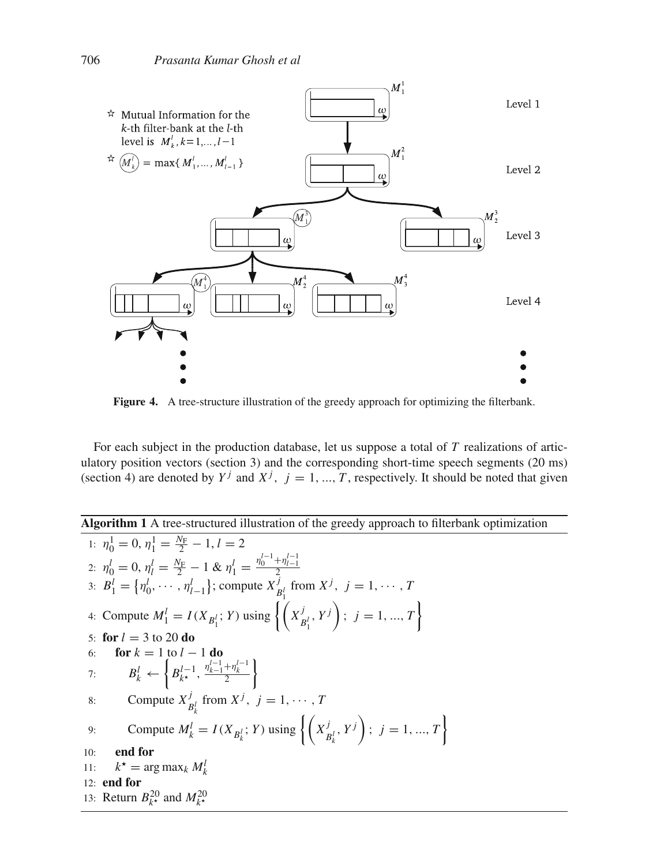

**Figure 4.** A tree-structure illustration of the greedy approach for optimizing the filterbank.

For each subject in the production database, let us suppose a total of *T* realizations of articulatory position vectors (section 3) and the corresponding short-time speech segments (20 ms) (section 4) are denoted by  $Y^j$  and  $X^j$ ,  $j = 1, ..., T$ , respectively. It should be noted that given

**Algorithm 1** A tree-structured illustration of the greedy approach to filterbank optimization 1:  $\eta_0^1 = 0, \eta_1^1 = \frac{N_{\rm F}}{2} - 1, l = 2$ 2:  $\eta_0^l = 0$ ,  $\eta_l^l = \frac{N_F}{2} - 1$  &  $\eta_1^l = \frac{\eta_0^{l-1} + \eta_{l-1}^{l-1}}{2}$ <br>3:  $B_1^l = \{\eta_0^l, \dots, \eta_{l-1}^l\}$ ; compute  $X_{B_1^l}^j$  from  $X^j$ ,  $j = 1, \dots, T$ 4: Compute  $M_1^l = I(X_{B_1^l}; Y)$  using  $\left\{ \left( X_{B_1^l}^j, Y^j \right); j = 1, ..., T \right\}$ 5: **for**  $l = 3$  to 20 **do** 6: **for** *k* = 1 to *l* − 1 **do** 7:  $B_k^l \leftarrow \left\{ B_{k^*}^{l-1}, \frac{\eta_{k-1}^{l-1} + \eta_k^{l-1}}{2} \right\}$  $\mathbf{I}$ 8: Compute  $X_{B_k^j}^j$  from  $X^j$ ,  $j = 1, \dots, T$ *k* 9: Compute  $M_k^l = I(X_{B_k^l}; Y)$  using  $\left\{ \left( X_{B_k^l}^j, Y^j \right); j = 1, ..., T \right\}$ 10: **end for** 11:  $k^* = \arg \max_k M_k^l$ 12: **end for** 13: Return  $B_{k^*}^{20}$  and  $M_{k^*}^{20}$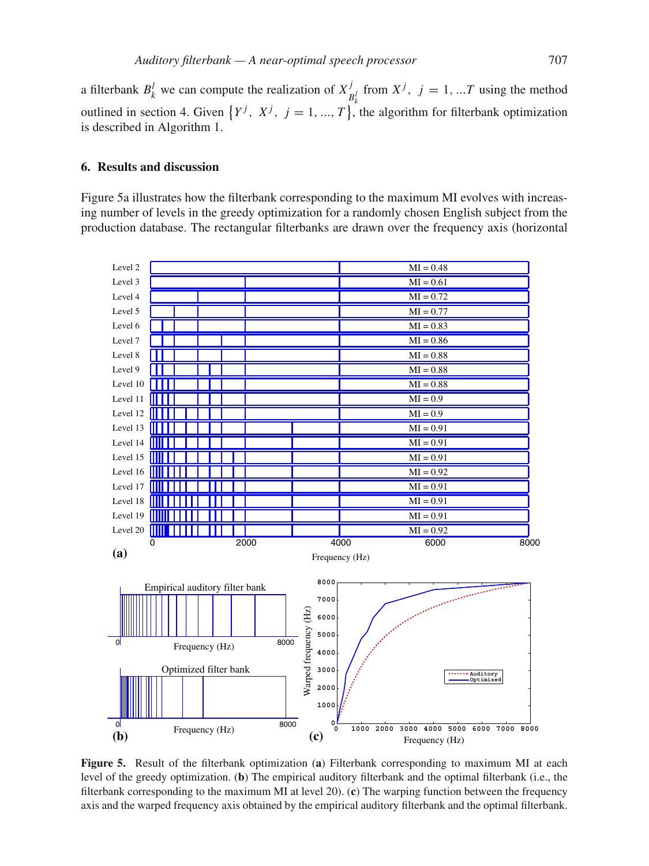a filterbank  $B_k^l$  we can compute the realization of  $X_{B_k^l}^j$  from  $X^j$ ,  $j = 1, ...T$  using the method outlined in section 4. Given  $\{Y^j, X^j, j = 1, ..., T\}$ , the algorithm for filterbank optimization is described in Algorithm 1.

## **6. Results and discussion**

Figure 5a illustrates how the filterbank corresponding to the maximum MI evolves with increasing number of levels in the greedy optimization for a randomly chosen English subject from the production database. The rectangular filterbanks are drawn over the frequency axis (horizontal



**Figure 5.** Result of the filterbank optimization (**a**) Filterbank corresponding to maximum MI at each level of the greedy optimization. (**b**) The empirical auditory filterbank and the optimal filterbank (i.e., the filterbank corresponding to the maximum MI at level 20). (**c**) The warping function between the frequency axis and the warped frequency axis obtained by the empirical auditory filterbank and the optimal filterbank.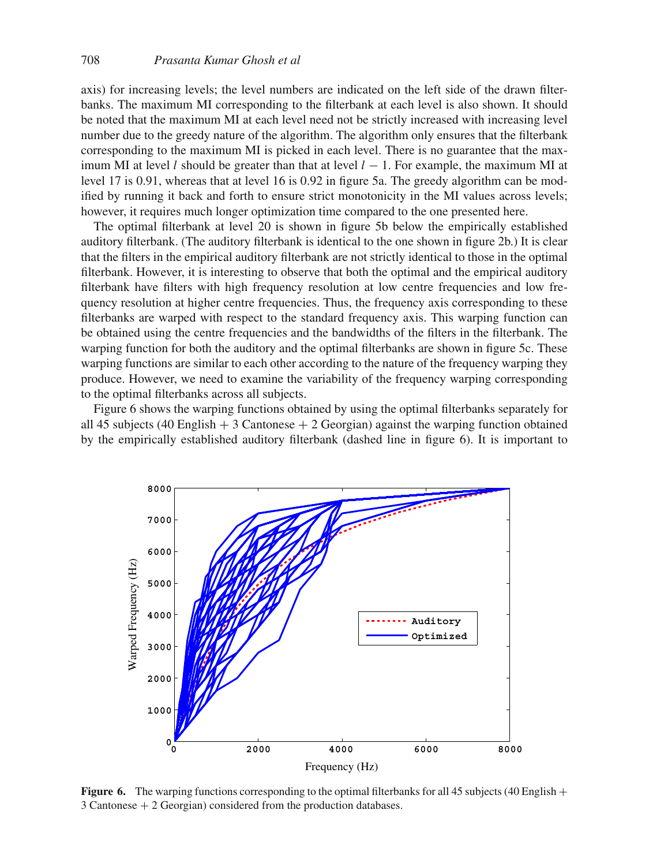axis) for increasing levels; the level numbers are indicated on the left side of the drawn filterbanks. The maximum MI corresponding to the filterbank at each level is also shown. It should be noted that the maximum MI at each level need not be strictly increased with increasing level number due to the greedy nature of the algorithm. The algorithm only ensures that the filterbank corresponding to the maximum MI is picked in each level. There is no guarantee that the maximum MI at level *l* should be greater than that at level *l* − 1. For example, the maximum MI at level 17 is 0.91, whereas that at level 16 is 0.92 in figure 5a. The greedy algorithm can be modified by running it back and forth to ensure strict monotonicity in the MI values across levels; however, it requires much longer optimization time compared to the one presented here.

The optimal filterbank at level 20 is shown in figure 5b below the empirically established auditory filterbank. (The auditory filterbank is identical to the one shown in figure 2b.) It is clear that the filters in the empirical auditory filterbank are not strictly identical to those in the optimal filterbank. However, it is interesting to observe that both the optimal and the empirical auditory filterbank have filters with high frequency resolution at low centre frequencies and low frequency resolution at higher centre frequencies. Thus, the frequency axis corresponding to these filterbanks are warped with respect to the standard frequency axis. This warping function can be obtained using the centre frequencies and the bandwidths of the filters in the filterbank. The warping function for both the auditory and the optimal filterbanks are shown in figure 5c. These warping functions are similar to each other according to the nature of the frequency warping they produce. However, we need to examine the variability of the frequency warping corresponding to the optimal filterbanks across all subjects.

Figure 6 shows the warping functions obtained by using the optimal filterbanks separately for all 45 subjects (40 English  $+3$  Cantonese  $+2$  Georgian) against the warping function obtained by the empirically established auditory filterbank (dashed line in figure 6). It is important to



**Figure 6.** The warping functions corresponding to the optimal filterbanks for all 45 subjects (40 English + 3 Cantonese + 2 Georgian) considered from the production databases.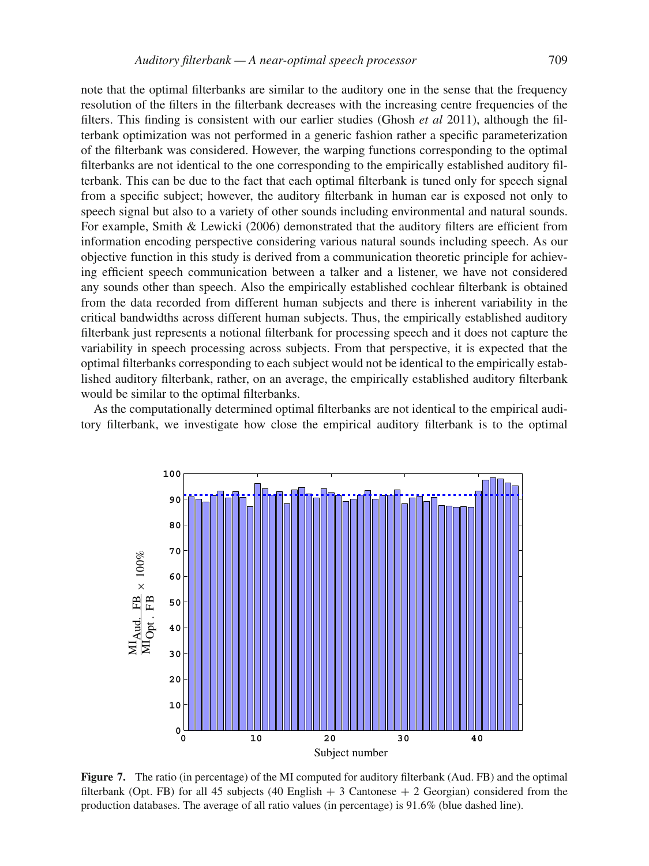note that the optimal filterbanks are similar to the auditory one in the sense that the frequency resolution of the filters in the filterbank decreases with the increasing centre frequencies of the filters. This finding is consistent with our earlier studies (Ghosh *et al* 2011), although the filterbank optimization was not performed in a generic fashion rather a specific parameterization of the filterbank was considered. However, the warping functions corresponding to the optimal filterbanks are not identical to the one corresponding to the empirically established auditory filterbank. This can be due to the fact that each optimal filterbank is tuned only for speech signal from a specific subject; however, the auditory filterbank in human ear is exposed not only to speech signal but also to a variety of other sounds including environmental and natural sounds. For example, Smith & Lewicki (2006) demonstrated that the auditory filters are efficient from information encoding perspective considering various natural sounds including speech. As our objective function in this study is derived from a communication theoretic principle for achieving efficient speech communication between a talker and a listener, we have not considered any sounds other than speech. Also the empirically established cochlear filterbank is obtained from the data recorded from different human subjects and there is inherent variability in the critical bandwidths across different human subjects. Thus, the empirically established auditory filterbank just represents a notional filterbank for processing speech and it does not capture the variability in speech processing across subjects. From that perspective, it is expected that the optimal filterbanks corresponding to each subject would not be identical to the empirically established auditory filterbank, rather, on an average, the empirically established auditory filterbank would be similar to the optimal filterbanks.

As the computationally determined optimal filterbanks are not identical to the empirical auditory filterbank, we investigate how close the empirical auditory filterbank is to the optimal



**Figure 7.** The ratio (in percentage) of the MI computed for auditory filterbank (Aud. FB) and the optimal filterbank (Opt. FB) for all 45 subjects (40 English  $+3$  Cantonese  $+2$  Georgian) considered from the production databases. The average of all ratio values (in percentage) is 91.6% (blue dashed line).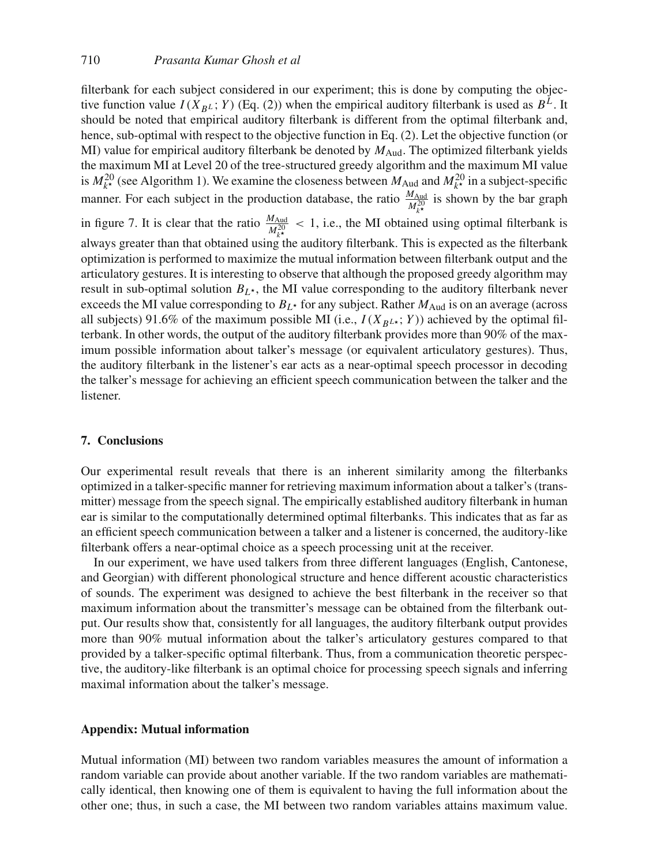filterbank for each subject considered in our experiment; this is done by computing the objective function value  $I(X_{BL}; Y)$  (Eq. (2)) when the empirical auditory filterbank is used as  $B^L$ . It should be noted that empirical auditory filterbank is different from the optimal filterbank and, hence, sub-optimal with respect to the objective function in Eq. (2). Let the objective function (or MI) value for empirical auditory filterbank be denoted by  $M_{\text{Aud}}$ . The optimized filterbank yields the maximum MI at Level 20 of the tree-structured greedy algorithm and the maximum MI value is  $M_{k^*}^{20}$  (see Algorithm 1). We examine the closeness between  $M_{\text{Aud}}$  and  $M_{k^*}^{20}$  in a subject-specific manner. For each subject in the production database, the ratio  $\frac{M_{\text{Aud}}}{M_{\text{A}}^{20}}$  is shown by the bar graph in figure 7. It is clear that the ratio  $\frac{M_{\text{Aud}}}{M_k^{20}} < 1$ , i.e., the MI obtained using optimal filterbank is always greater than that obtained using the auditory filterbank. This is expected as the filterbank optimization is performed to maximize the mutual information between filterbank output and the articulatory gestures. It is interesting to observe that although the proposed greedy algorithm may result in sub-optimal solution  $B_{L^*}$ , the MI value corresponding to the auditory filterbank never exceeds the MI value corresponding to  $B_{L^*}$  for any subject. Rather  $M_{\text{Aud}}$  is on an average (across all subjects) 91.6% of the maximum possible MI (i.e.,  $I(X_{BL}; Y)$ ) achieved by the optimal filterbank. In other words, the output of the auditory filterbank provides more than 90% of the maximum possible information about talker's message (or equivalent articulatory gestures). Thus, the auditory filterbank in the listener's ear acts as a near-optimal speech processor in decoding the talker's message for achieving an efficient speech communication between the talker and the listener.

#### **7. Conclusions**

Our experimental result reveals that there is an inherent similarity among the filterbanks optimized in a talker-specific manner for retrieving maximum information about a talker's (transmitter) message from the speech signal. The empirically established auditory filterbank in human ear is similar to the computationally determined optimal filterbanks. This indicates that as far as an efficient speech communication between a talker and a listener is concerned, the auditory-like filterbank offers a near-optimal choice as a speech processing unit at the receiver.

In our experiment, we have used talkers from three different languages (English, Cantonese, and Georgian) with different phonological structure and hence different acoustic characteristics of sounds. The experiment was designed to achieve the best filterbank in the receiver so that maximum information about the transmitter's message can be obtained from the filterbank output. Our results show that, consistently for all languages, the auditory filterbank output provides more than 90% mutual information about the talker's articulatory gestures compared to that provided by a talker-specific optimal filterbank. Thus, from a communication theoretic perspective, the auditory-like filterbank is an optimal choice for processing speech signals and inferring maximal information about the talker's message.

#### **Appendix: Mutual information**

Mutual information (MI) between two random variables measures the amount of information a random variable can provide about another variable. If the two random variables are mathematically identical, then knowing one of them is equivalent to having the full information about the other one; thus, in such a case, the MI between two random variables attains maximum value.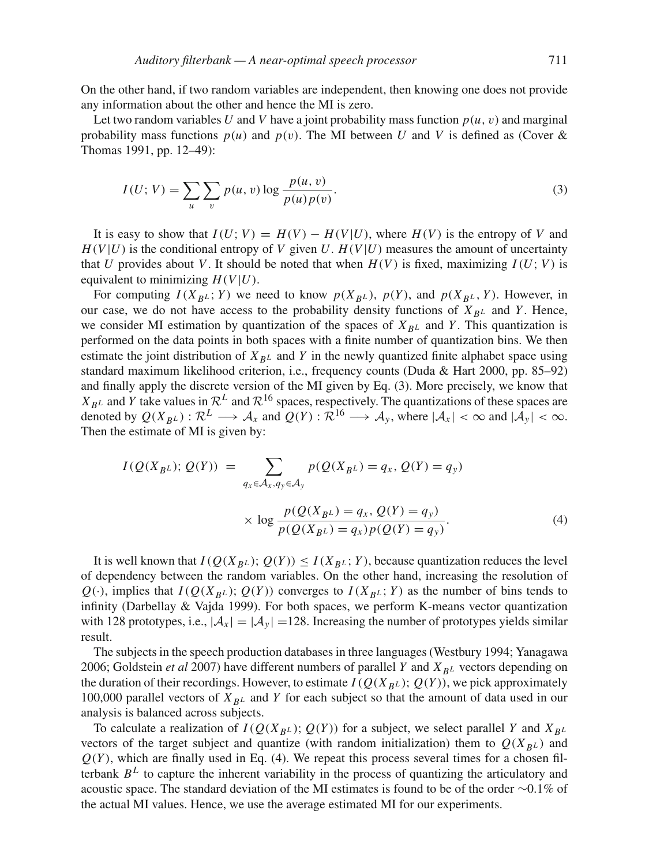On the other hand, if two random variables are independent, then knowing one does not provide any information about the other and hence the MI is zero.

Let two random variables U and V have a joint probability mass function  $p(u, v)$  and marginal probability mass functions  $p(u)$  and  $p(v)$ . The MI between *U* and *V* is defined as (Cover & Thomas 1991, pp. 12–49):

$$
I(U; V) = \sum_{u} \sum_{v} p(u, v) \log \frac{p(u, v)}{p(u)p(v)}.
$$
 (3)

It is easy to show that  $I(U; V) = H(V) - H(V|U)$ , where  $H(V)$  is the entropy of V and  $H(V|U)$  is the conditional entropy of V given U.  $H(V|U)$  measures the amount of uncertainty that *U* provides about *V*. It should be noted that when  $H(V)$  is fixed, maximizing  $I(U; V)$  is equivalent to minimizing  $H(V|U)$ .

For computing  $I(X_{BL}; Y)$  we need to know  $p(X_{BL})$ ,  $p(Y)$ , and  $p(X_{BL}, Y)$ . However, in our case, we do not have access to the probability density functions of  $X_{BL}$  and *Y*. Hence, we consider MI estimation by quantization of the spaces of  $X_{BL}$  and *Y*. This quantization is performed on the data points in both spaces with a finite number of quantization bins. We then estimate the joint distribution of  $X_{BL}$  and *Y* in the newly quantized finite alphabet space using standard maximum likelihood criterion, i.e., frequency counts (Duda & Hart 2000, pp. 85–92) and finally apply the discrete version of the MI given by Eq. (3). More precisely, we know that  $X_{BL}$  and *Y* take values in  $\mathcal{R}^{L}$  and  $\mathcal{R}^{16}$  spaces, respectively. The quantizations of these spaces are denoted by  $Q(X_{BL}) : \mathcal{R}^L \longrightarrow \mathcal{A}_x$  and  $Q(Y) : \mathcal{R}^{16} \longrightarrow \mathcal{A}_y$ , where  $|\mathcal{A}_x| < \infty$  and  $|\mathcal{A}_y| < \infty$ . Then the estimate of MI is given by:

$$
I(Q(X_{B^L}); Q(Y)) = \sum_{q_x \in \mathcal{A}_x, q_y \in \mathcal{A}_y} p(Q(X_{B^L}) = q_x, Q(Y) = q_y)
$$
  
 
$$
\times \log \frac{p(Q(X_{B^L}) = q_x, Q(Y) = q_y)}{p(Q(X_{B^L}) = q_x)p(Q(Y) = q_y)}.
$$
 (4)

It is well known that  $I(Q(X_{BL}); Q(Y)) \leq I(X_{BL}; Y)$ , because quantization reduces the level of dependency between the random variables. On the other hand, increasing the resolution of  $Q(\cdot)$ , implies that  $I(Q(X_{BL}); Q(Y))$  converges to  $I(X_{BL}; Y)$  as the number of bins tends to infinity (Darbellay & Vajda 1999). For both spaces, we perform K-means vector quantization with 128 prototypes, i.e.,  $|\mathcal{A}_x| = |\mathcal{A}_y| = 128$ . Increasing the number of prototypes yields similar result.

The subjects in the speech production databases in three languages (Westbury 1994; Yanagawa 2006; Goldstein *et al* 2007) have different numbers of parallel *Y* and  $X_{BL}$  vectors depending on the duration of their recordings. However, to estimate  $I(Q(X_{R^L}))$ ;  $Q(Y)$ , we pick approximately 100,000 parallel vectors of  $X_{BL}$  and *Y* for each subject so that the amount of data used in our analysis is balanced across subjects.

To calculate a realization of  $I(Q(X_{B^L}); Q(Y))$  for a subject, we select parallel *Y* and  $X_{B^L}$ vectors of the target subject and quantize (with random initialization) them to  $Q(X_{BL})$  and  $Q(Y)$ , which are finally used in Eq. (4). We repeat this process several times for a chosen filterbank  $B<sup>L</sup>$  to capture the inherent variability in the process of quantizing the articulatory and acoustic space. The standard deviation of the MI estimates is found to be of the order ∼0.1% of the actual MI values. Hence, we use the average estimated MI for our experiments.